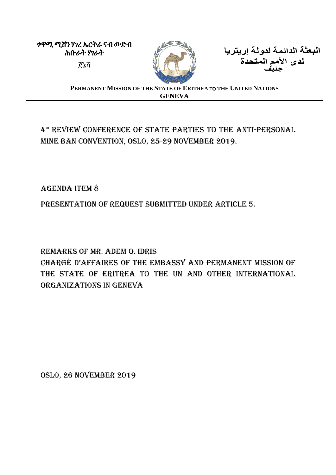ቀዋሚ ሚሽን ሃገረ ኤርትራ ናብ ውድብ ሕቡራት ሃገራት



البعثة الدائمة لدولة إريتريا **جنيف** ጀኔቫ

**PERMANENT MISSION OF THE STATE OF ERITREA** TO **THE UNITED NATIONS GENEVA**

## 4™ REVIEW CONFERENCE OF STATE PARTIES TO THE ANTI-PERSONAL MINE BAN CONVENTION, OSLO, 25-29 NOVEMBER 2019.

## Agenda Item 8

Presentation of Request Submitted under Article 5.

## Remarks of Mr. Adem O. Idris

Chargé d'affaires of the Embassy and Permanent Mission of THE STATE OF ERITREA TO THE UN AND OTHER INTERNATIONAL organizations in Geneva

Oslo, 26 November 2019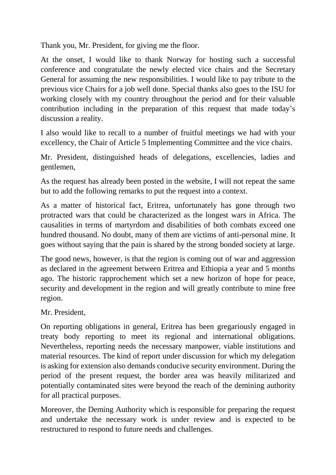Thank you, Mr. President, for giving me the floor.

At the onset, I would like to thank Norway for hosting such a successful conference and congratulate the newly elected vice chairs and the Secretary General for assuming the new responsibilities. I would like to pay tribute to the previous vice Chairs for a job well done. Special thanks also goes to the ISU for working closely with my country throughout the period and for their valuable contribution including in the preparation of this request that made today's discussion a reality.

I also would like to recall to a number of fruitful meetings we had with your excellency, the Chair of Article 5 Implementing Committee and the vice chairs.

Mr. President, distinguished heads of delegations, excellencies, ladies and gentlemen,

As the request has already been posted in the website, I will not repeat the same but to add the following remarks to put the request into a context.

As a matter of historical fact, Eritrea, unfortunately has gone through two protracted wars that could be characterized as the longest wars in Africa. The causalities in terms of martyrdom and disabilities of both combats exceed one hundred thousand. No doubt, many of them are victims of anti-personal mine. It goes without saying that the pain is shared by the strong bonded society at large.

The good news, however, is that the region is coming out of war and aggression as declared in the agreement between Eritrea and Ethiopia a year and 5 months ago. The historic rapprochement which set a new horizon of hope for peace, security and development in the region and will greatly contribute to mine free region.

Mr. President,

On reporting obligations in general, Eritrea has been gregariously engaged in treaty body reporting to meet its regional and international obligations. Nevertheless, reporting needs the necessary manpower, viable institutions and material resources. The kind of report under discussion for which my delegation is asking for extension also demands conducive security environment. During the period of the present request, the border area was heavily militarized and potentially contaminated sites were beyond the reach of the demining authority for all practical purposes.

Moreover, the Deming Authority which is responsible for preparing the request and undertake the necessary work is under review and is expected to be restructured to respond to future needs and challenges.